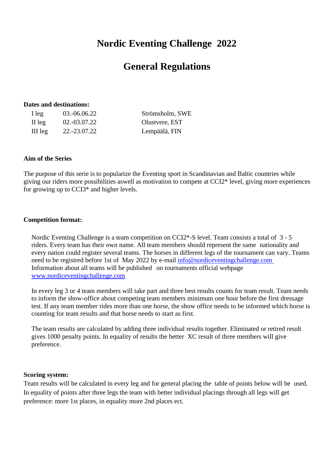# **Nordic Eventing Challenge 2022**

## **General Regulations**

#### **Dates and destinations:**

| I leg   | 03.-06.06.22 | Strömsholm, SWE |
|---------|--------------|-----------------|
| II leg  | 02.-03.07.22 | Olustvere, EST  |
| III leg | 22.-23.07.22 | Lempäälä, FIN   |

#### **Aim of the Series**

The purpose of this serie is to popularize the Eventing sport in Scandinavian and Baltic countries while giving our riders more possibilities aswell as motivation to compete at CCI2\* level, giving more experiences for growing up to CCI3\* and higher levels.

#### **Competition format:**

Nordic Eventing Challenge is a team competition on CCI2\*-S level. Team consists a total of 3 - 5 riders. Every team has their own name. All team members should represent the same nationality and every nation could register several teams. The horses in different legs of the tournament can vary. Teams need to be registred before 1st of May 2022 by e-mail [info@nordiceventingchallenge.com](mailto:info@nordiceventingchallenge.com) Information about all teams will be published on tournaments official webpage [www.nordiceventingchallenge.com](http://www.nordiceventingchallenge.com/)

In every leg 3 or 4 team members will take part and three best results counts for team result. Team needs to inform the show-office about competing team members minimum one hour before the first dressage test. If any team member rides more than one horse, the show office needs to be informed which horse is counting for team results and that horse needs to start as first.

The team results are calculated by adding three individual results together. Eliminated or retired result gives 1000 penalty points. In equality of results the better XC result of three members will give preference.

#### **Scoring system:**

Team results will be calculated in every leg and for general placing the table of points below will be used. In equality of points after three legs the team with better individual placings through all legs will get preference: more 1st places, in equality more 2nd places ect.